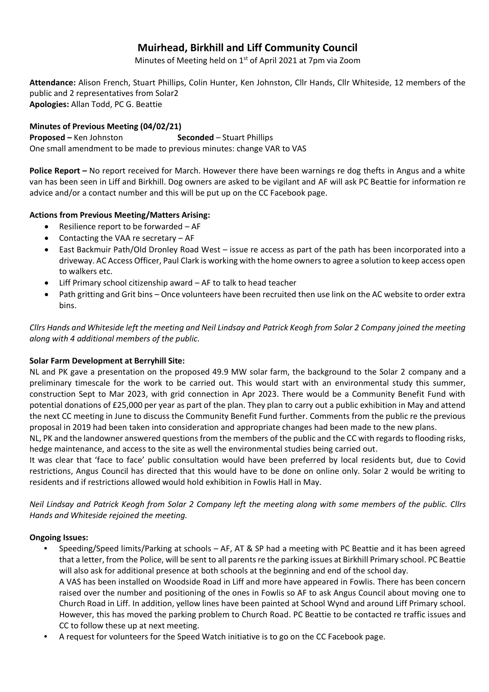# **Muirhead, Birkhill and Liff Community Council**

Minutes of Meeting held on 1<sup>st</sup> of April 2021 at 7pm via Zoom

**Attendance:** Alison French, Stuart Phillips, Colin Hunter, Ken Johnston, Cllr Hands, Cllr Whiteside, 12 members of the public and 2 representatives from Solar2 **Apologies:** Allan Todd, PC G. Beattie

# **Minutes of Previous Meeting (04/02/21)**

**Proposed** – Ken Johnston **Seconded** – Stuart Phillips One small amendment to be made to previous minutes: change VAR to VAS

**Police Report –** No report received for March. However there have been warnings re dog thefts in Angus and a white van has been seen in Liff and Birkhill. Dog owners are asked to be vigilant and AF will ask PC Beattie for information re advice and/or a contact number and this will be put up on the CC Facebook page.

# **Actions from Previous Meeting/Matters Arising:**

- Resilience report to be forwarded  $-AF$
- Contacting the VAA re secretary AF
- East Backmuir Path/Old Dronley Road West issue re access as part of the path has been incorporated into a driveway. AC Access Officer, Paul Clark is working with the home owners to agree a solution to keep access open to walkers etc.
- Liff Primary school citizenship award AF to talk to head teacher
- Path gritting and Grit bins Once volunteers have been recruited then use link on the AC website to order extra bins.

*Cllrs Hands and Whiteside left the meeting and Neil Lindsay and Patrick Keogh from Solar 2 Company joined the meeting along with 4 additional members of the public.*

## **Solar Farm Development at Berryhill Site:**

NL and PK gave a presentation on the proposed 49.9 MW solar farm, the background to the Solar 2 company and a preliminary timescale for the work to be carried out. This would start with an environmental study this summer, construction Sept to Mar 2023, with grid connection in Apr 2023. There would be a Community Benefit Fund with potential donations of £25,000 per year as part of the plan. They plan to carry out a public exhibition in May and attend the next CC meeting in June to discuss the Community Benefit Fund further. Comments from the public re the previous proposal in 2019 had been taken into consideration and appropriate changes had been made to the new plans.

NL, PK and the landowner answered questions from the members of the public and the CC with regards to flooding risks, hedge maintenance, and access to the site as well the environmental studies being carried out.

It was clear that 'face to face' public consultation would have been preferred by local residents but, due to Covid restrictions, Angus Council has directed that this would have to be done on online only. Solar 2 would be writing to residents and if restrictions allowed would hold exhibition in Fowlis Hall in May.

*Neil Lindsay and Patrick Keogh from Solar 2 Company left the meeting along with some members of the public. Cllrs Hands and Whiteside rejoined the meeting.*

## **Ongoing Issues:**

- Speeding/Speed limits/Parking at schools AF, AT & SP had a meeting with PC Beattie and it has been agreed that a letter, from the Police, will be sent to all parents re the parking issues at Birkhill Primary school. PC Beattie will also ask for additional presence at both schools at the beginning and end of the school day.
	- A VAS has been installed on Woodside Road in Liff and more have appeared in Fowlis. There has been concern raised over the number and positioning of the ones in Fowlis so AF to ask Angus Council about moving one to Church Road in Liff. In addition, yellow lines have been painted at School Wynd and around Liff Primary school. However, this has moved the parking problem to Church Road. PC Beattie to be contacted re traffic issues and CC to follow these up at next meeting.
- A request for volunteers for the Speed Watch initiative is to go on the CC Facebook page.